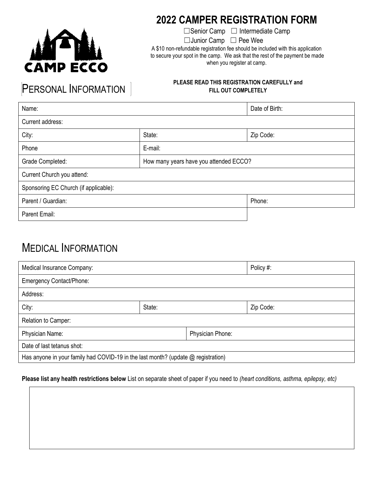

### **2022 CAMPER REGISTRATION FORM**

☐Senior Camp ☐ Intermediate Camp

☐Junior Camp ☐ Pee Wee

A \$10 non-refundable registration fee should be included with this application to secure your spot in the camp. We ask that the rest of the payment be made when you register at camp.

# PERSONAL INFORMATION

#### **PLEASE READ THIS REGISTRATION CAREFULLY and FILL OUT COMPLETELY**

| Name:                                 |                                        | Date of Birth: |  |  |
|---------------------------------------|----------------------------------------|----------------|--|--|
| Current address:                      |                                        |                |  |  |
| City:                                 | State:                                 | Zip Code:      |  |  |
| Phone                                 | E-mail:                                |                |  |  |
| Grade Completed:                      | How many years have you attended ECCO? |                |  |  |
| Current Church you attend:            |                                        |                |  |  |
| Sponsoring EC Church (if applicable): |                                        |                |  |  |
| Parent / Guardian:                    |                                        | Phone:         |  |  |
| Parent Email:                         |                                        |                |  |  |

## MEDICAL INFORMATION

| Medical Insurance Company:                                                          |        | Policy #:        |           |  |
|-------------------------------------------------------------------------------------|--------|------------------|-----------|--|
| <b>Emergency Contact/Phone:</b>                                                     |        |                  |           |  |
| Address:                                                                            |        |                  |           |  |
| City:                                                                               | State: |                  | Zip Code: |  |
| Relation to Camper:                                                                 |        |                  |           |  |
| Physician Name:                                                                     |        | Physician Phone: |           |  |
| Date of last tetanus shot:                                                          |        |                  |           |  |
| Has anyone in your family had COVID-19 in the last month? (update $@$ registration) |        |                  |           |  |

#### **Please list any health restrictions below** List on separate sheet of paper if you need to *(heart conditions, asthma, epilepsy, etc)*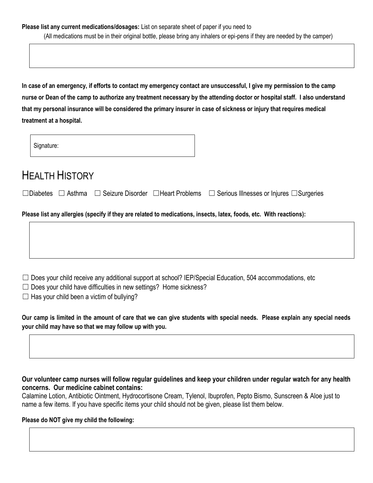**In case of an emergency, if efforts to contact my emergency contact are unsuccessful, I give my permission to the camp nurse or Dean of the camp to authorize any treatment necessary by the attending doctor or hospital staff. I also understand that my personal insurance will be considered the primary insurer in case of sickness or injury that requires medical treatment at a hospital.**

Signature:

## HEALTH HISTORY

☐Diabetes ☐ Asthma ☐ Seizure Disorder ☐Heart Problems ☐ Serious Illnesses or Injures ☐Surgeries

**Please list any allergies (specify if they are related to medications, insects, latex, foods, etc. With reactions):** 

 $\Box$  Does your child receive any additional support at school? IEP/Special Education, 504 accommodations, etc

 $\Box$  Does your child have difficulties in new settings? Home sickness?

 $\Box$  Has your child been a victim of bullying?

**Our camp is limited in the amount of care that we can give students with special needs. Please explain any special needs your child may have so that we may follow up with you.** 

#### **Our volunteer camp nurses will follow regular guidelines and keep your children under regular watch for any health concerns. Our medicine cabinet contains:**

Calamine Lotion, Antibiotic Ointment, Hydrocortisone Cream, Tylenol, Ibuprofen, Pepto Bismo, Sunscreen & Aloe just to name a few items. If you have specific items your child should not be given, please list them below.

#### **Please do NOT give my child the following:**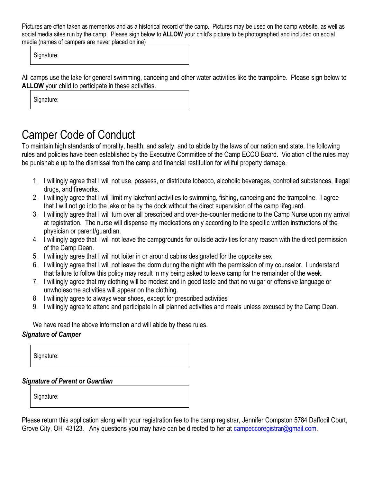Pictures are often taken as mementos and as a historical record of the camp. Pictures may be used on the camp website, as well as social media sites run by the camp. Please sign below to **ALLOW** your child's picture to be photographed and included on social media (names of campers are never placed online)

Signature:

All camps use the lake for general swimming, canoeing and other water activities like the trampoline. Please sign below to **ALLOW** your child to participate in these activities.

Signature:

## Camper Code of Conduct

To maintain high standards of morality, health, and safety, and to abide by the laws of our nation and state, the following rules and policies have been established by the Executive Committee of the Camp ECCO Board. Violation of the rules may be punishable up to the dismissal from the camp and financial restitution for willful property damage.

- 1. I willingly agree that I will not use, possess, or distribute tobacco, alcoholic beverages, controlled substances, illegal drugs, and fireworks.
- 2. I willingly agree that I will limit my lakefront activities to swimming, fishing, canoeing and the trampoline. I agree that I will not go into the lake or be by the dock without the direct supervision of the camp lifeguard.
- 3. I willingly agree that I will turn over all prescribed and over-the-counter medicine to the Camp Nurse upon my arrival at registration. The nurse will dispense my medications only according to the specific written instructions of the physician or parent/guardian.
- 4. I willingly agree that I will not leave the campgrounds for outside activities for any reason with the direct permission of the Camp Dean.
- 5. I willingly agree that I will not loiter in or around cabins designated for the opposite sex.
- 6. I willingly agree that I will not leave the dorm during the night with the permission of my counselor. I understand that failure to follow this policy may result in my being asked to leave camp for the remainder of the week.
- 7. I willingly agree that my clothing will be modest and in good taste and that no vulgar or offensive language or unwholesome activities will appear on the clothing.
- 8. I willingly agree to always wear shoes, except for prescribed activities
- 9. I willingly agree to attend and participate in all planned activities and meals unless excused by the Camp Dean.

We have read the above information and will abide by these rules.

#### *Signature of Camper*

Signature:

#### *Signature of Parent or Guardian*

Signature:

Please return this application along with your registration fee to the camp registrar, Jennifer Compston 5784 Daffodil Court, Grove City, OH 43123. Any questions you may have can be directed to her at [campeccoregistrar@gmail.com.](mailto:campeccoregistrar@gmail.com)